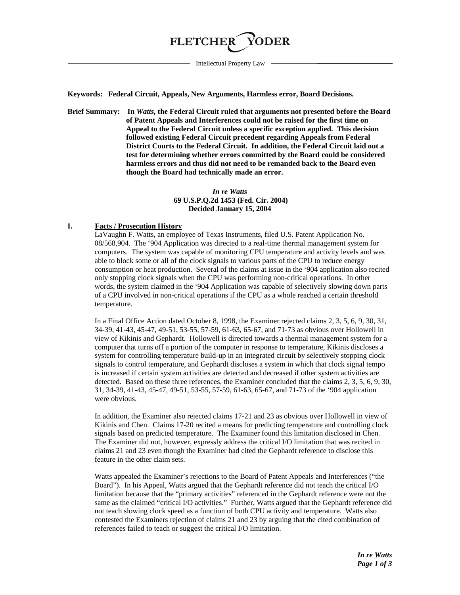# **FLETCHER**

Intellectual Property Law

**Keywords: Federal Circuit, Appeals, New Arguments, Harmless error, Board Decisions.**

**Brief Summary: In** *Watts,* **the Federal Circuit ruled that arguments not presented before the Board of Patent Appeals and Interferences could not be raised for the first time on Appeal to the Federal Circuit unless a specific exception applied. This decision followed existing Federal Circuit precedent regarding Appeals from Federal District Courts to the Federal Circuit. In addition, the Federal Circuit laid out a test for determining whether errors committed by the Board could be considered harmless errors and thus did not need to be remanded back to the Board even though the Board had technically made an error.**

#### *In re Watts* **69 U.S.P.Q.2d 1453 (Fed. Cir. 2004) Decided January 15, 2004**

## **I. Facts / Prosecution History**

LaVaughn F. Watts, an employee of Texas Instruments, filed U.S. Patent Application No. 08/568,904. The '904 Application was directed to a real-time thermal management system for computers. The system was capable of monitoring CPU temperature and activity levels and was able to block some or all of the clock signals to various parts of the CPU to reduce energy consumption or heat production. Several of the claims at issue in the '904 application also recited only stopping clock signals when the CPU was performing non-critical operations. In other words, the system claimed in the '904 Application was capable of selectively slowing down parts of a CPU involved in non-critical operations if the CPU as a whole reached a certain threshold temperature.

In a Final Office Action dated October 8, 1998, the Examiner rejected claims 2, 3, 5, 6, 9, 30, 31, 34-39, 41-43, 45-47, 49-51, 53-55, 57-59, 61-63, 65-67, and 71-73 as obvious over Hollowell in view of Kikinis and Gephardt. Hollowell is directed towards a thermal management system for a computer that turns off a portion of the computer in response to temperature, Kikinis discloses a system for controlling temperature build-up in an integrated circuit by selectively stopping clock signals to control temperature, and Gephardt discloses a system in which that clock signal tempo is increased if certain system activities are detected and decreased if other system activities are detected. Based on these three references, the Examiner concluded that the claims 2, 3, 5, 6, 9, 30, 31, 34-39, 41-43, 45-47, 49-51, 53-55, 57-59, 61-63, 65-67, and 71-73 of the '904 application were obvious.

In addition, the Examiner also rejected claims 17-21 and 23 as obvious over Hollowell in view of Kikinis and Chen. Claims 17-20 recited a means for predicting temperature and controlling clock signals based on predicted temperature. The Examiner found this limitation disclosed in Chen. The Examiner did not, however, expressly address the critical I/O limitation that was recited in claims 21 and 23 even though the Examiner had cited the Gephardt reference to disclose this feature in the other claim sets.

Watts appealed the Examiner's rejections to the Board of Patent Appeals and Interferences ("the Board"). In his Appeal, Watts argued that the Gephardt reference did not teach the critical I/O limitation because that the "primary activities" referenced in the Gephardt reference were not the same as the claimed "critical I/O activities." Further, Watts argued that the Gephardt reference did not teach slowing clock speed as a function of both CPU activity and temperature. Watts also contested the Examiners rejection of claims 21 and 23 by arguing that the cited combination of references failed to teach or suggest the critical I/O limitation.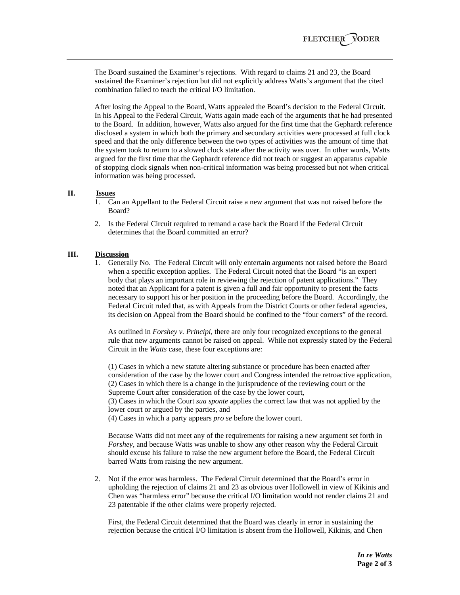The Board sustained the Examiner's rejections. With regard to claims 21 and 23, the Board sustained the Examiner's rejection but did not explicitly address Watts's argument that the cited combination failed to teach the critical I/O limitation.

After losing the Appeal to the Board, Watts appealed the Board's decision to the Federal Circuit. In his Appeal to the Federal Circuit, Watts again made each of the arguments that he had presented to the Board. In addition, however, Watts also argued for the first time that the Gephardt reference disclosed a system in which both the primary and secondary activities were processed at full clock speed and that the only difference between the two types of activities was the amount of time that the system took to return to a slowed clock state after the activity was over. In other words, Watts argued for the first time that the Gephardt reference did not teach or suggest an apparatus capable of stopping clock signals when non-critical information was being processed but not when critical information was being processed.

## **II. Issues**

- 1. Can an Appellant to the Federal Circuit raise a new argument that was not raised before the Board?
- 2. Is the Federal Circuit required to remand a case back the Board if the Federal Circuit determines that the Board committed an error?

## **III. Discussion**

1. Generally No. The Federal Circuit will only entertain arguments not raised before the Board when a specific exception applies. The Federal Circuit noted that the Board "is an expert body that plays an important role in reviewing the rejection of patent applications." They noted that an Applicant for a patent is given a full and fair opportunity to present the facts necessary to support his or her position in the proceeding before the Board. Accordingly, the Federal Circuit ruled that, as with Appeals from the District Courts or other federal agencies, its decision on Appeal from the Board should be confined to the "four corners" of the record.

As outlined in *Forshey v. Principi,* there are only four recognized exceptions to the general rule that new arguments cannot be raised on appeal. While not expressly stated by the Federal Circuit in the *Watts* case, these four exceptions are:

(1) Cases in which a new statute altering substance or procedure has been enacted after consideration of the case by the lower court and Congress intended the retroactive application, (2) Cases in which there is a change in the jurisprudence of the reviewing court or the Supreme Court after consideration of the case by the lower court,

(3) Cases in which the Court *sua sponte* applies the correct law that was not applied by the lower court or argued by the parties, and

(4) Cases in which a party appears *pro se* before the lower court.

Because Watts did not meet any of the requirements for raising a new argument set forth in *Forshey*, and because Watts was unable to show any other reason why the Federal Circuit should excuse his failure to raise the new argument before the Board, the Federal Circuit barred Watts from raising the new argument.

2. Not if the error was harmless. The Federal Circuit determined that the Board's error in upholding the rejection of claims 21 and 23 as obvious over Hollowell in view of Kikinis and Chen was "harmless error" because the critical I/O limitation would not render claims 21 and 23 patentable if the other claims were properly rejected.

First, the Federal Circuit determined that the Board was clearly in error in sustaining the rejection because the critical I/O limitation is absent from the Hollowell, Kikinis, and Chen